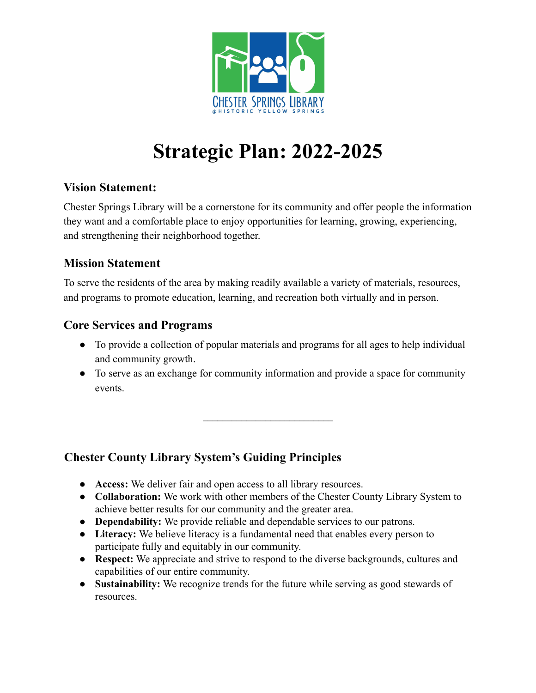

# **Strategic Plan: 2022-2025**

# **Vision Statement:**

Chester Springs Library will be a cornerstone for its community and offer people the information they want and a comfortable place to enjoy opportunities for learning, growing, experiencing, and strengthening their neighborhood together.

# **Mission Statement**

To serve the residents of the area by making readily available a variety of materials, resources, and programs to promote education, learning, and recreation both virtually and in person.

## **Core Services and Programs**

- To provide a collection of popular materials and programs for all ages to help individual and community growth.
- To serve as an exchange for community information and provide a space for community events.

 $\mathcal{L}_\text{max}$ 

# **Chester County Library System's Guiding Principles**

- **Access:** We deliver fair and open access to all library resources.
- **Collaboration:** We work with other members of the Chester County Library System to achieve better results for our community and the greater area.
- **Dependability:** We provide reliable and dependable services to our patrons.
- **Literacy:** We believe literacy is a fundamental need that enables every person to participate fully and equitably in our community.
- **Respect:** We appreciate and strive to respond to the diverse backgrounds, cultures and capabilities of our entire community.
- **Sustainability:** We recognize trends for the future while serving as good stewards of resources.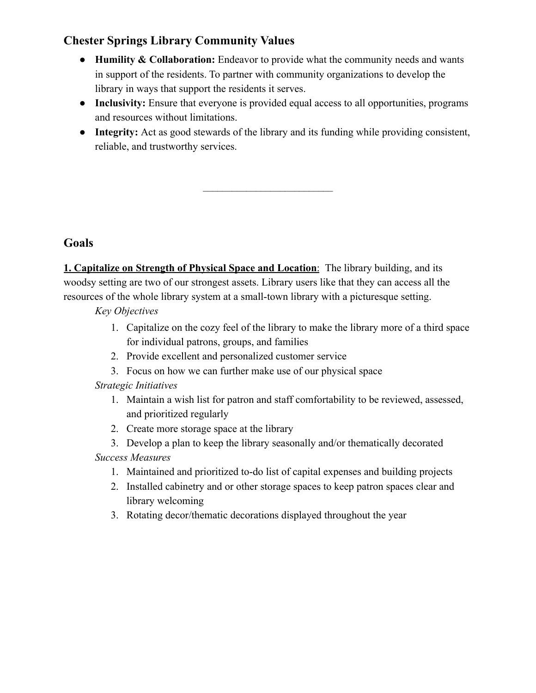# **Chester Springs Library Community Values**

- **Humility & Collaboration:** Endeavor to provide what the community needs and wants in support of the residents. To partner with community organizations to develop the library in ways that support the residents it serves.
- **Inclusivity:** Ensure that everyone is provided equal access to all opportunities, programs and resources without limitations.
- **Integrity:** Act as good stewards of the library and its funding while providing consistent, reliable, and trustworthy services.

 $\mathcal{L}_\text{max}$ 

## **Goals**

**1. Capitalize on Strength of Physical Space and Location**: The library building, and its woodsy setting are two of our strongest assets. Library users like that they can access all the resources of the whole library system at a small-town library with a picturesque setting.

*Key Objectives*

- 1. Capitalize on the cozy feel of the library to make the library more of a third space for individual patrons, groups, and families
- 2. Provide excellent and personalized customer service
- 3. Focus on how we can further make use of our physical space

#### *Strategic Initiatives*

- 1. Maintain a wish list for patron and staff comfortability to be reviewed, assessed, and prioritized regularly
- 2. Create more storage space at the library
- 3. Develop a plan to keep the library seasonally and/or thematically decorated *Success Measures*
	- 1. Maintained and prioritized to-do list of capital expenses and building projects
	- 2. Installed cabinetry and or other storage spaces to keep patron spaces clear and library welcoming
	- 3. Rotating decor/thematic decorations displayed throughout the year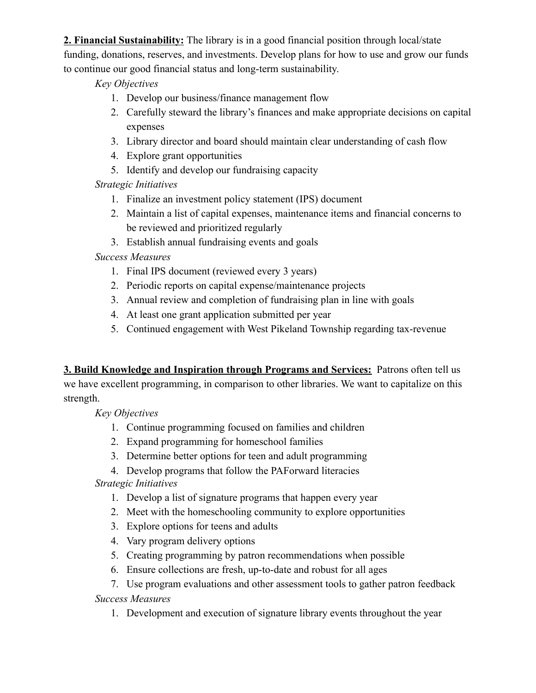**2. Financial Sustainability:** The library is in a good financial position through local/state funding, donations, reserves, and investments. Develop plans for how to use and grow our funds to continue our good financial status and long-term sustainability.

#### *Key Objectives*

- 1. Develop our business/finance management flow
- 2. Carefully steward the library's finances and make appropriate decisions on capital expenses
- 3. Library director and board should maintain clear understanding of cash flow
- 4. Explore grant opportunities
- 5. Identify and develop our fundraising capacity

## *Strategic Initiatives*

- 1. Finalize an investment policy statement (IPS) document
- 2. Maintain a list of capital expenses, maintenance items and financial concerns to be reviewed and prioritized regularly
- 3. Establish annual fundraising events and goals

## *Success Measures*

- 1. Final IPS document (reviewed every 3 years)
- 2. Periodic reports on capital expense/maintenance projects
- 3. Annual review and completion of fundraising plan in line with goals
- 4. At least one grant application submitted per year
- 5. Continued engagement with West Pikeland Township regarding tax-revenue

**3. Build Knowledge and Inspiration through Programs and Services:** Patrons often tell us we have excellent programming, in comparison to other libraries. We want to capitalize on this strength.

#### *Key Objectives*

- 1. Continue programming focused on families and children
- 2. Expand programming for homeschool families
- 3. Determine better options for teen and adult programming

4. Develop programs that follow the PAForward literacies *Strategic Initiatives*

- 1. Develop a list of signature programs that happen every year
- 2. Meet with the homeschooling community to explore opportunities
- 3. Explore options for teens and adults
- 4. Vary program delivery options
- 5. Creating programming by patron recommendations when possible
- 6. Ensure collections are fresh, up-to-date and robust for all ages

7. Use program evaluations and other assessment tools to gather patron feedback *Success Measures*

1. Development and execution of signature library events throughout the year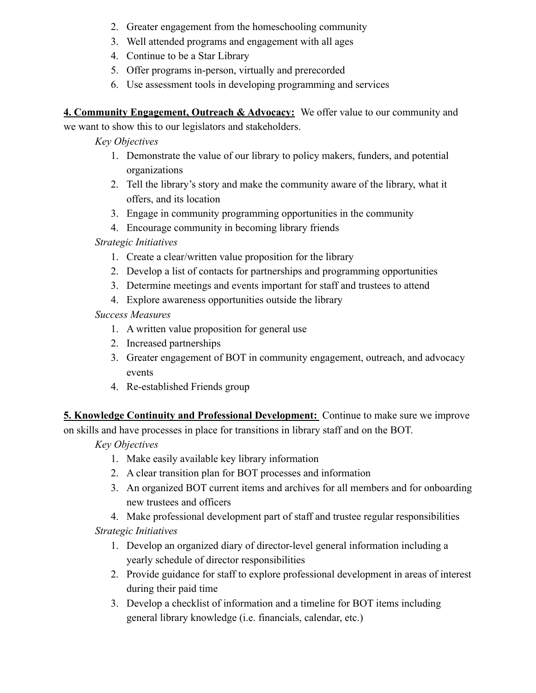- 2. Greater engagement from the homeschooling community
- 3. Well attended programs and engagement with all ages
- 4. Continue to be a Star Library
- 5. Offer programs in-person, virtually and prerecorded
- 6. Use assessment tools in developing programming and services

**4. Community Engagement, Outreach & Advocacy:** We offer value to our community and

we want to show this to our legislators and stakeholders.

*Key Objectives*

- 1. Demonstrate the value of our library to policy makers, funders, and potential organizations
- 2. Tell the library's story and make the community aware of the library, what it offers, and its location
- 3. Engage in community programming opportunities in the community
- 4. Encourage community in becoming library friends

## *Strategic Initiatives*

- 1. Create a clear/written value proposition for the library
- 2. Develop a list of contacts for partnerships and programming opportunities
- 3. Determine meetings and events important for staff and trustees to attend
- 4. Explore awareness opportunities outside the library

*Success Measures*

- 1. A written value proposition for general use
- 2. Increased partnerships
- 3. Greater engagement of BOT in community engagement, outreach, and advocacy events
- 4. Re-established Friends group

**5. Knowledge Continuity and Professional Development:** Continue to make sure we improve on skills and have processes in place for transitions in library staff and on the BOT.

*Key Objectives*

- 1. Make easily available key library information
- 2. A clear transition plan for BOT processes and information
- 3. An organized BOT current items and archives for all members and for onboarding new trustees and officers

4. Make professional development part of staff and trustee regular responsibilities

*Strategic Initiatives*

- 1. Develop an organized diary of director-level general information including a yearly schedule of director responsibilities
- 2. Provide guidance for staff to explore professional development in areas of interest during their paid time
- 3. Develop a checklist of information and a timeline for BOT items including general library knowledge (i.e. financials, calendar, etc.)